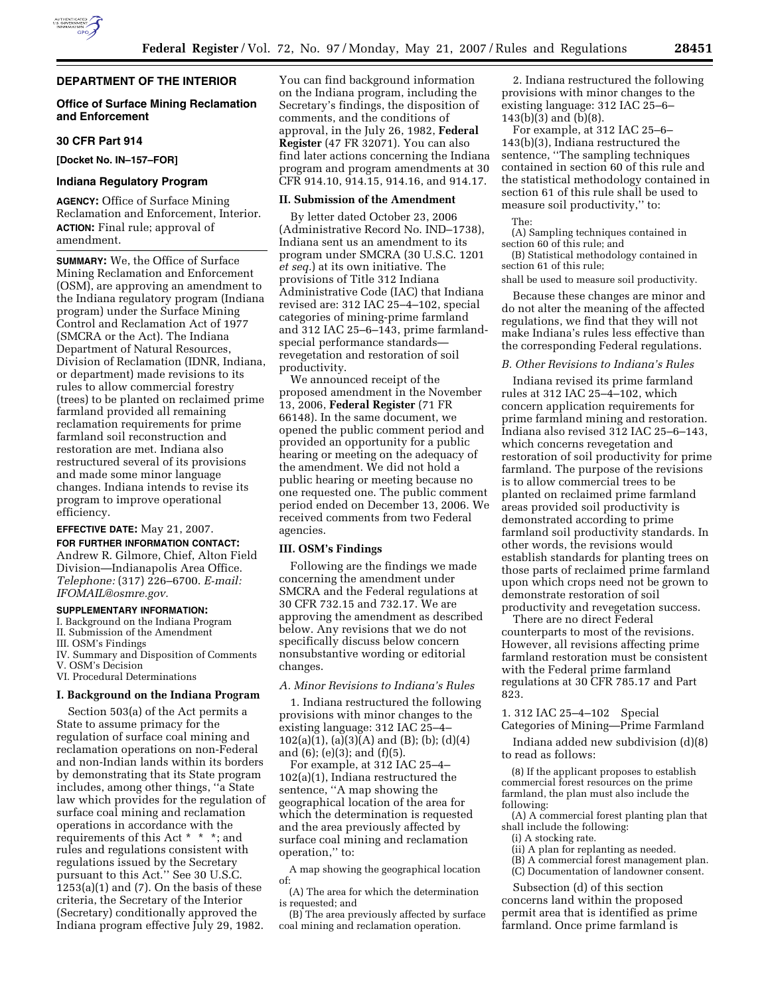

## **DEPARTMENT OF THE INTERIOR**

# **Office of Surface Mining Reclamation and Enforcement**

## **30 CFR Part 914**

**[Docket No. IN–157–FOR]** 

### **Indiana Regulatory Program**

**AGENCY:** Office of Surface Mining Reclamation and Enforcement, Interior. **ACTION:** Final rule; approval of amendment.

**SUMMARY:** We, the Office of Surface Mining Reclamation and Enforcement (OSM), are approving an amendment to the Indiana regulatory program (Indiana program) under the Surface Mining Control and Reclamation Act of 1977 (SMCRA or the Act). The Indiana Department of Natural Resources, Division of Reclamation (IDNR, Indiana, or department) made revisions to its rules to allow commercial forestry (trees) to be planted on reclaimed prime farmland provided all remaining reclamation requirements for prime farmland soil reconstruction and restoration are met. Indiana also restructured several of its provisions and made some minor language changes. Indiana intends to revise its program to improve operational efficiency.

## **EFFECTIVE DATE:** May 21, 2007.

**FOR FURTHER INFORMATION CONTACT:**  Andrew R. Gilmore, Chief, Alton Field Division—Indianapolis Area Office.

*Telephone:* (317) 226–6700. *E-mail: IFOMAIL@osmre.gov.* 

## **SUPPLEMENTARY INFORMATION:**

I. Background on the Indiana Program

- II. Submission of the Amendment
- III. OSM's Findings
- IV. Summary and Disposition of Comments V. OSM's Decision

VI. Procedural Determinations

### **I. Background on the Indiana Program**

Section 503(a) of the Act permits a State to assume primacy for the regulation of surface coal mining and reclamation operations on non-Federal and non-Indian lands within its borders by demonstrating that its State program includes, among other things, ''a State law which provides for the regulation of surface coal mining and reclamation operations in accordance with the requirements of this Act \* \* \*; and rules and regulations consistent with regulations issued by the Secretary pursuant to this Act.'' See 30 U.S.C.  $1253(a)(1)$  and  $(7)$ . On the basis of these criteria, the Secretary of the Interior (Secretary) conditionally approved the Indiana program effective July 29, 1982.

You can find background information on the Indiana program, including the Secretary's findings, the disposition of comments, and the conditions of approval, in the July 26, 1982, **Federal Register** (47 FR 32071). You can also find later actions concerning the Indiana program and program amendments at 30 CFR 914.10, 914.15, 914.16, and 914.17.

## **II. Submission of the Amendment**

By letter dated October 23, 2006 (Administrative Record No. IND–1738), Indiana sent us an amendment to its program under SMCRA (30 U.S.C. 1201 *et seq.*) at its own initiative. The provisions of Title 312 Indiana Administrative Code (IAC) that Indiana revised are: 312 IAC 25–4–102, special categories of mining-prime farmland and 312 IAC 25–6–143, prime farmlandspecial performance standards revegetation and restoration of soil productivity.

We announced receipt of the proposed amendment in the November 13, 2006, **Federal Register** (71 FR 66148). In the same document, we opened the public comment period and provided an opportunity for a public hearing or meeting on the adequacy of the amendment. We did not hold a public hearing or meeting because no one requested one. The public comment period ended on December 13, 2006. We received comments from two Federal agencies.

# **III. OSM's Findings**

Following are the findings we made concerning the amendment under SMCRA and the Federal regulations at 30 CFR 732.15 and 732.17. We are approving the amendment as described below. Any revisions that we do not specifically discuss below concern nonsubstantive wording or editorial changes.

#### *A. Minor Revisions to Indiana's Rules*

1. Indiana restructured the following provisions with minor changes to the existing language: 312 IAC 25–4–  $102(a)(1), (a)(3)(A)$  and (B); (b); (d)(4) and (6); (e)(3); and (f)(5).

For example, at 312 IAC 25–4– 102(a)(1), Indiana restructured the sentence, "A map showing the geographical location of the area for which the determination is requested and the area previously affected by surface coal mining and reclamation operation,'' to:

A map showing the geographical location of:

(A) The area for which the determination is requested; and

(B) The area previously affected by surface coal mining and reclamation operation.

2. Indiana restructured the following provisions with minor changes to the existing language: 312 IAC 25–6– 143(b)(3) and (b)(8).

For example, at 312 IAC 25–6– 143(b)(3), Indiana restructured the sentence, ''The sampling techniques contained in section 60 of this rule and the statistical methodology contained in section 61 of this rule shall be used to measure soil productivity,'' to:

The:

(A) Sampling techniques contained in section 60 of this rule; and

(B) Statistical methodology contained in section 61 of this rule;

shall be used to measure soil productivity.

Because these changes are minor and do not alter the meaning of the affected regulations, we find that they will not make Indiana's rules less effective than the corresponding Federal regulations.

### *B. Other Revisions to Indiana's Rules*

Indiana revised its prime farmland rules at 312 IAC 25–4–102, which concern application requirements for prime farmland mining and restoration. Indiana also revised 312 IAC 25–6–143, which concerns revegetation and restoration of soil productivity for prime farmland. The purpose of the revisions is to allow commercial trees to be planted on reclaimed prime farmland areas provided soil productivity is demonstrated according to prime farmland soil productivity standards. In other words, the revisions would establish standards for planting trees on those parts of reclaimed prime farmland upon which crops need not be grown to demonstrate restoration of soil productivity and revegetation success.

There are no direct Federal counterparts to most of the revisions. However, all revisions affecting prime farmland restoration must be consistent with the Federal prime farmland regulations at 30 CFR 785.17 and Part 823.

1. 312 IAC 25–4–102 Special Categories of Mining—Prime Farmland

Indiana added new subdivision (d)(8) to read as follows:

(8) If the applicant proposes to establish commercial forest resources on the prime farmland, the plan must also include the following:

- (A) A commercial forest planting plan that shall include the following:
	- (i) A stocking rate.
	- (ii) A plan for replanting as needed. (B) A commercial forest management plan.
	- (C) Documentation of landowner consent.

Subsection (d) of this section

concerns land within the proposed permit area that is identified as prime farmland. Once prime farmland is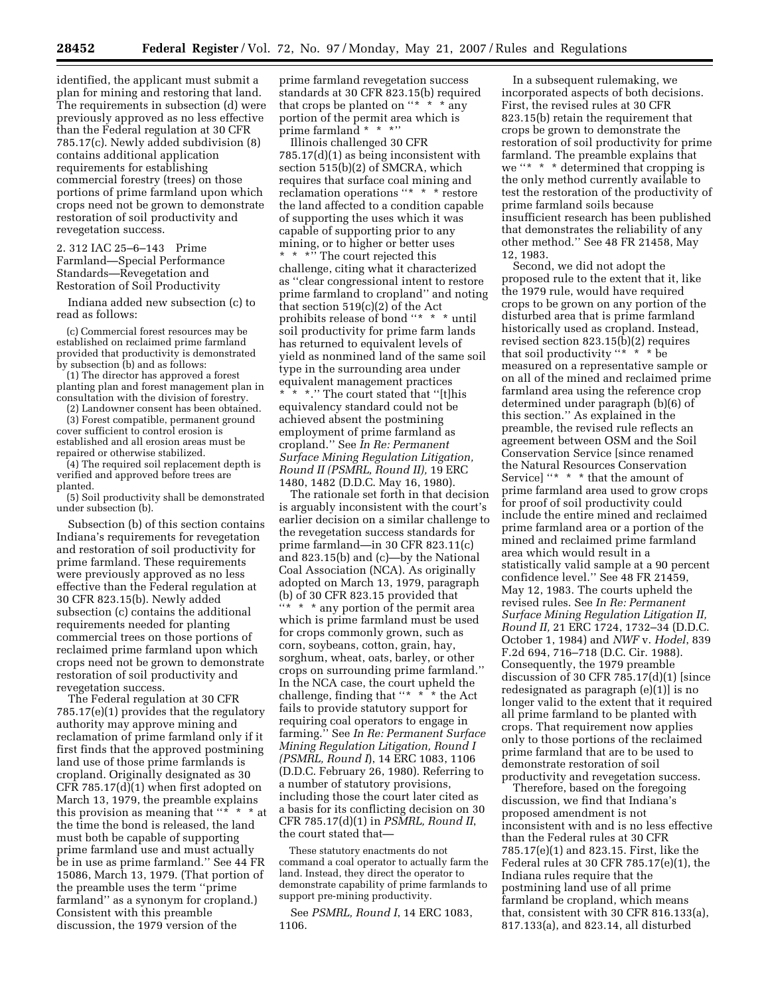identified, the applicant must submit a plan for mining and restoring that land. The requirements in subsection (d) were previously approved as no less effective than the Federal regulation at 30 CFR 785.17(c). Newly added subdivision (8) contains additional application requirements for establishing commercial forestry (trees) on those portions of prime farmland upon which crops need not be grown to demonstrate restoration of soil productivity and revegetation success.

2. 312 IAC 25–6–143 Prime Farmland—Special Performance Standards—Revegetation and Restoration of Soil Productivity

Indiana added new subsection (c) to read as follows:

(c) Commercial forest resources may be established on reclaimed prime farmland provided that productivity is demonstrated by subsection (b) and as follows:

(1) The director has approved a forest planting plan and forest management plan in consultation with the division of forestry.

(2) Landowner consent has been obtained. (3) Forest compatible, permanent ground cover sufficient to control erosion is established and all erosion areas must be repaired or otherwise stabilized.

(4) The required soil replacement depth is verified and approved before trees are planted.

(5) Soil productivity shall be demonstrated under subsection (b).

Subsection (b) of this section contains Indiana's requirements for revegetation and restoration of soil productivity for prime farmland. These requirements were previously approved as no less effective than the Federal regulation at 30 CFR 823.15(b). Newly added subsection (c) contains the additional requirements needed for planting commercial trees on those portions of reclaimed prime farmland upon which crops need not be grown to demonstrate restoration of soil productivity and revegetation success.

The Federal regulation at 30 CFR 785.17(e)(1) provides that the regulatory authority may approve mining and reclamation of prime farmland only if it first finds that the approved postmining land use of those prime farmlands is cropland. Originally designated as 30 CFR 785.17(d) $(1)$  when first adopted on March 13, 1979, the preamble explains this provision as meaning that  $4 * * * *$  at the time the bond is released, the land must both be capable of supporting prime farmland use and must actually be in use as prime farmland.'' See 44 FR 15086, March 13, 1979. (That portion of the preamble uses the term ''prime farmland'' as a synonym for cropland.) Consistent with this preamble discussion, the 1979 version of the

prime farmland revegetation success standards at 30 CFR 823.15(b) required that crops be planted on " $* * *$  any portion of the permit area which is prime farmland \* \* \*''

Illinois challenged 30 CFR 785.17(d)(1) as being inconsistent with section 515(b)(2) of SMCRA, which requires that surface coal mining and reclamation operations ''\* \* \* restore the land affected to a condition capable of supporting the uses which it was capable of supporting prior to any mining, or to higher or better uses \* \* \*\*\* The court rejected this challenge, citing what it characterized as ''clear congressional intent to restore prime farmland to cropland'' and noting that section 519(c)(2) of the Act prohibits release of bond "\* \* \* until soil productivity for prime farm lands has returned to equivalent levels of yield as nonmined land of the same soil type in the surrounding area under equivalent management practices

\* \* \*.'' The court stated that ''[t]his equivalency standard could not be achieved absent the postmining employment of prime farmland as cropland.'' See *In Re: Permanent Surface Mining Regulation Litigation, Round II (PSMRL, Round II),* 19 ERC 1480, 1482 (D.D.C. May 16, 1980).

The rationale set forth in that decision is arguably inconsistent with the court's earlier decision on a similar challenge to the revegetation success standards for prime farmland—in 30 CFR 823.11(c) and 823.15(b) and (c)—by the National Coal Association (NCA). As originally adopted on March 13, 1979, paragraph (b) of 30 CFR 823.15 provided that ''\* \* \* any portion of the permit area which is prime farmland must be used for crops commonly grown, such as corn, soybeans, cotton, grain, hay, sorghum, wheat, oats, barley, or other crops on surrounding prime farmland.'' In the NCA case, the court upheld the challenge, finding that "\* \* <sup>\*</sup>\* the Act fails to provide statutory support for requiring coal operators to engage in farming.'' See *In Re: Permanent Surface Mining Regulation Litigation, Round I (PSMRL, Round I*), 14 ERC 1083, 1106 (D.D.C. February 26, 1980). Referring to a number of statutory provisions, including those the court later cited as a basis for its conflicting decision on 30 CFR 785.17(d)(1) in *PSMRL, Round II*, the court stated that—

These statutory enactments do not command a coal operator to actually farm the land. Instead, they direct the operator to demonstrate capability of prime farmlands to support pre-mining productivity.

See *PSMRL, Round I*, 14 ERC 1083, 1106.

In a subsequent rulemaking, we incorporated aspects of both decisions. First, the revised rules at 30 CFR 823.15(b) retain the requirement that crops be grown to demonstrate the restoration of soil productivity for prime farmland. The preamble explains that we ''\* \* \* determined that cropping is the only method currently available to test the restoration of the productivity of prime farmland soils because insufficient research has been published that demonstrates the reliability of any other method.'' See 48 FR 21458, May 12, 1983.

Second, we did not adopt the proposed rule to the extent that it, like the 1979 rule, would have required crops to be grown on any portion of the disturbed area that is prime farmland historically used as cropland. Instead, revised section 823.15(b)(2) requires that soil productivity ''\* \* \* be measured on a representative sample or on all of the mined and reclaimed prime farmland area using the reference crop determined under paragraph (b)(6) of this section.'' As explained in the preamble, the revised rule reflects an agreement between OSM and the Soil Conservation Service [since renamed the Natural Resources Conservation Service] "\* \* \* that the amount of prime farmland area used to grow crops for proof of soil productivity could include the entire mined and reclaimed prime farmland area or a portion of the mined and reclaimed prime farmland area which would result in a statistically valid sample at a 90 percent confidence level.'' See 48 FR 21459, May 12, 1983. The courts upheld the revised rules. See *In Re: Permanent Surface Mining Regulation Litigation II, Round II,* 21 ERC 1724, 1732–34 (D.D.C. October 1, 1984) and *NWF* v. *Hodel*, 839 F.2d 694, 716–718 (D.C. Cir. 1988). Consequently, the 1979 preamble discussion of 30 CFR 785.17(d)(1) [since redesignated as paragraph (e)(1)] is no longer valid to the extent that it required all prime farmland to be planted with crops. That requirement now applies only to those portions of the reclaimed prime farmland that are to be used to demonstrate restoration of soil productivity and revegetation success.

Therefore, based on the foregoing discussion, we find that Indiana's proposed amendment is not inconsistent with and is no less effective than the Federal rules at 30 CFR 785.17(e)(1) and 823.15. First, like the Federal rules at 30 CFR 785.17(e)(1), the Indiana rules require that the postmining land use of all prime farmland be cropland, which means that, consistent with 30 CFR 816.133(a), 817.133(a), and 823.14, all disturbed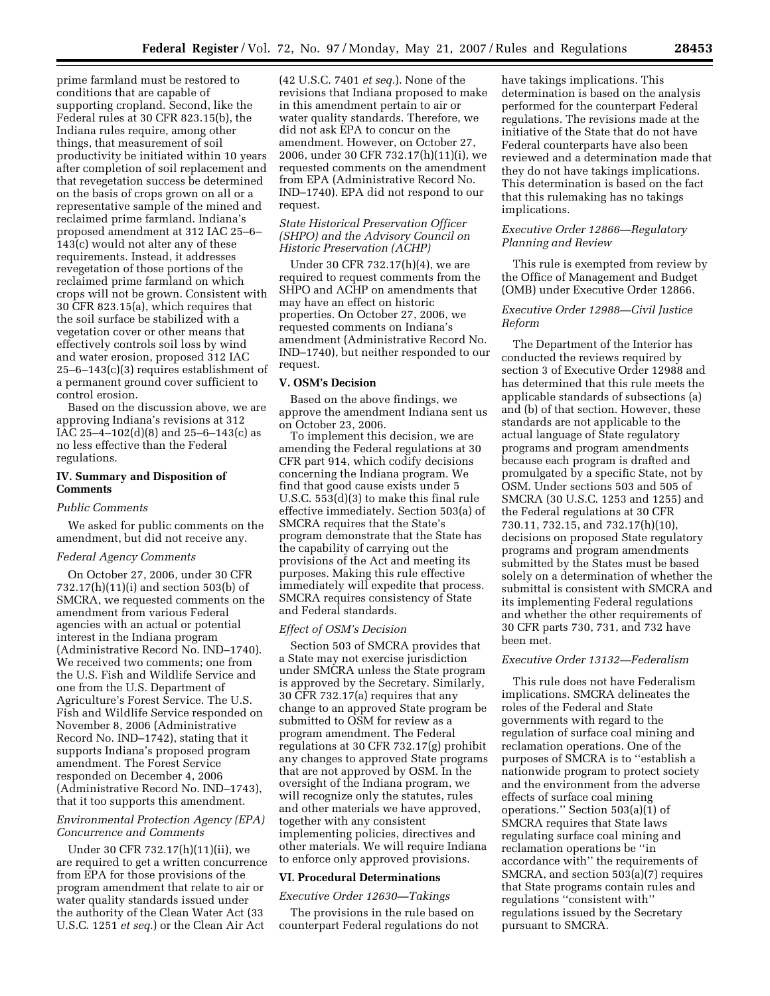prime farmland must be restored to conditions that are capable of supporting cropland. Second, like the Federal rules at 30 CFR 823.15(b), the Indiana rules require, among other things, that measurement of soil productivity be initiated within 10 years after completion of soil replacement and that revegetation success be determined on the basis of crops grown on all or a representative sample of the mined and reclaimed prime farmland. Indiana's proposed amendment at 312 IAC 25–6– 143(c) would not alter any of these requirements. Instead, it addresses revegetation of those portions of the reclaimed prime farmland on which crops will not be grown. Consistent with 30 CFR 823.15(a), which requires that the soil surface be stabilized with a vegetation cover or other means that effectively controls soil loss by wind and water erosion, proposed 312 IAC 25–6–143(c)(3) requires establishment of a permanent ground cover sufficient to control erosion.

Based on the discussion above, we are approving Indiana's revisions at 312 IAC 25–4–102(d)(8) and 25–6–143(c) as no less effective than the Federal regulations.

# **IV. Summary and Disposition of Comments**

#### *Public Comments*

We asked for public comments on the amendment, but did not receive any.

#### *Federal Agency Comments*

On October 27, 2006, under 30 CFR 732.17(h)(11)(i) and section 503(b) of SMCRA, we requested comments on the amendment from various Federal agencies with an actual or potential interest in the Indiana program (Administrative Record No. IND–1740). We received two comments; one from the U.S. Fish and Wildlife Service and one from the U.S. Department of Agriculture's Forest Service. The U.S. Fish and Wildlife Service responded on November 8, 2006 (Administrative Record No. IND–1742), stating that it supports Indiana's proposed program amendment. The Forest Service responded on December 4, 2006 (Administrative Record No. IND–1743), that it too supports this amendment.

## *Environmental Protection Agency (EPA) Concurrence and Comments*

Under 30 CFR 732.17(h)(11)(ii), we are required to get a written concurrence from EPA for those provisions of the program amendment that relate to air or water quality standards issued under the authority of the Clean Water Act (33 U.S.C. 1251 *et seq.*) or the Clean Air Act

(42 U.S.C. 7401 *et seq.*). None of the revisions that Indiana proposed to make in this amendment pertain to air or water quality standards. Therefore, we did not ask EPA to concur on the amendment. However, on October 27, 2006, under 30 CFR 732.17(h)(11)(i), we requested comments on the amendment from EPA (Administrative Record No. IND–1740). EPA did not respond to our request.

## *State Historical Preservation Officer (SHPO) and the Advisory Council on Historic Preservation (ACHP)*

Under 30 CFR 732.17(h)(4), we are required to request comments from the SHPO and ACHP on amendments that may have an effect on historic properties. On October 27, 2006, we requested comments on Indiana's amendment (Administrative Record No. IND–1740), but neither responded to our request.

### **V. OSM's Decision**

Based on the above findings, we approve the amendment Indiana sent us on October 23, 2006.

To implement this decision, we are amending the Federal regulations at 30 CFR part 914, which codify decisions concerning the Indiana program. We find that good cause exists under 5 U.S.C. 553(d)(3) to make this final rule effective immediately. Section 503(a) of SMCRA requires that the State's program demonstrate that the State has the capability of carrying out the provisions of the Act and meeting its purposes. Making this rule effective immediately will expedite that process. SMCRA requires consistency of State and Federal standards.

## *Effect of OSM's Decision*

Section 503 of SMCRA provides that a State may not exercise jurisdiction under SMCRA unless the State program is approved by the Secretary. Similarly, 30 CFR 732.17(a) requires that any change to an approved State program be submitted to OSM for review as a program amendment. The Federal regulations at 30 CFR 732.17(g) prohibit any changes to approved State programs that are not approved by OSM. In the oversight of the Indiana program, we will recognize only the statutes, rules and other materials we have approved, together with any consistent implementing policies, directives and other materials. We will require Indiana to enforce only approved provisions.

#### **VI. Procedural Determinations**

### *Executive Order 12630—Takings*

The provisions in the rule based on counterpart Federal regulations do not have takings implications. This determination is based on the analysis performed for the counterpart Federal regulations. The revisions made at the initiative of the State that do not have Federal counterparts have also been reviewed and a determination made that they do not have takings implications. This determination is based on the fact that this rulemaking has no takings implications.

## *Executive Order 12866—Regulatory Planning and Review*

This rule is exempted from review by the Office of Management and Budget (OMB) under Executive Order 12866.

## *Executive Order 12988—Civil Justice Reform*

The Department of the Interior has conducted the reviews required by section 3 of Executive Order 12988 and has determined that this rule meets the applicable standards of subsections (a) and (b) of that section. However, these standards are not applicable to the actual language of State regulatory programs and program amendments because each program is drafted and promulgated by a specific State, not by OSM. Under sections 503 and 505 of SMCRA (30 U.S.C. 1253 and 1255) and the Federal regulations at 30 CFR 730.11, 732.15, and 732.17(h)(10), decisions on proposed State regulatory programs and program amendments submitted by the States must be based solely on a determination of whether the submittal is consistent with SMCRA and its implementing Federal regulations and whether the other requirements of 30 CFR parts 730, 731, and 732 have been met.

#### *Executive Order 13132—Federalism*

This rule does not have Federalism implications. SMCRA delineates the roles of the Federal and State governments with regard to the regulation of surface coal mining and reclamation operations. One of the purposes of SMCRA is to ''establish a nationwide program to protect society and the environment from the adverse effects of surface coal mining operations.'' Section 503(a)(1) of SMCRA requires that State laws regulating surface coal mining and reclamation operations be ''in accordance with'' the requirements of SMCRA, and section 503(a)(7) requires that State programs contain rules and regulations ''consistent with'' regulations issued by the Secretary pursuant to SMCRA.